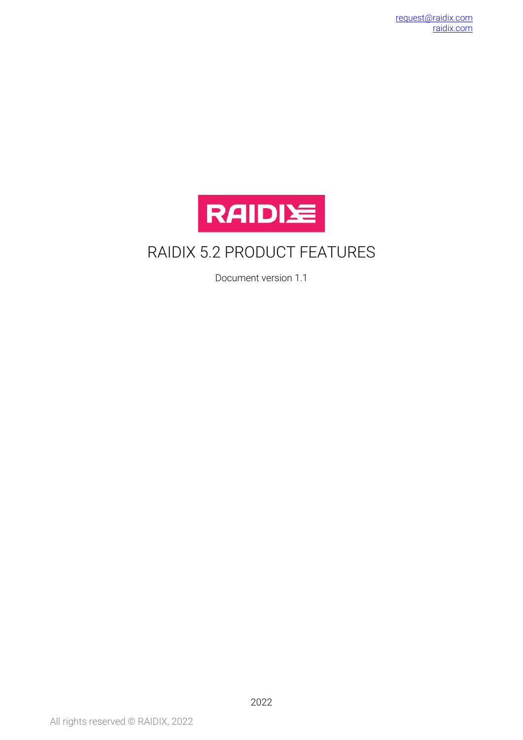

## RAIDIX 5.2 PRODUCT FEATURES

Document version 1.1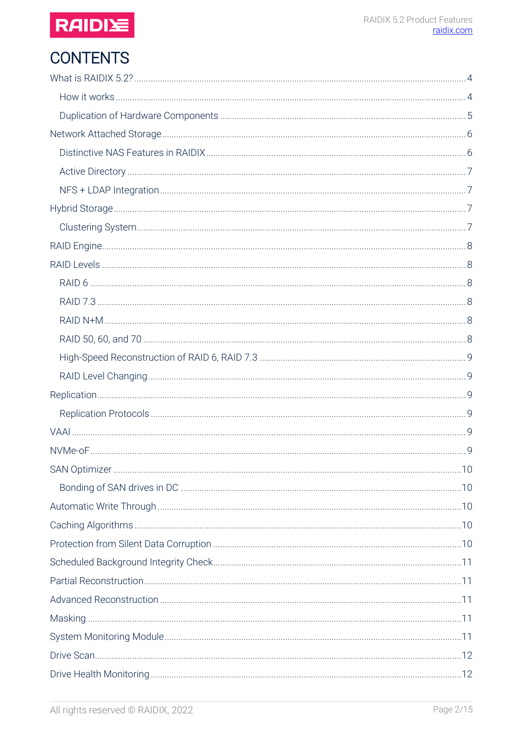

# **CONTENTS**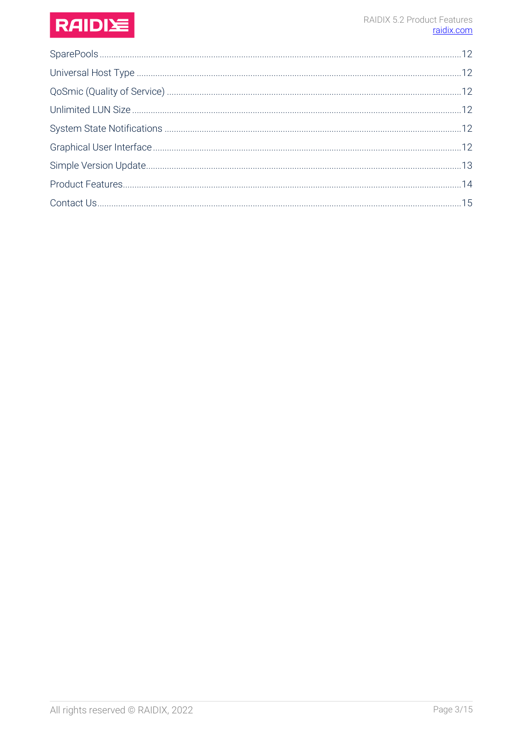# RAIDIE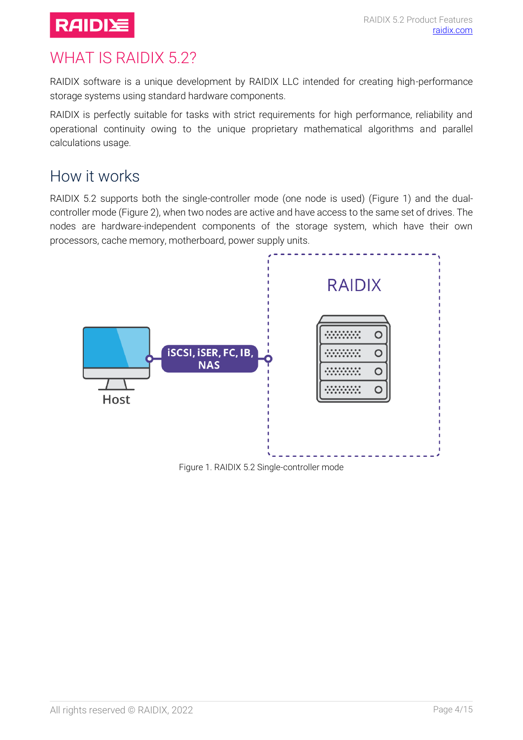

## <span id="page-3-0"></span>WHAT IS RAIDIX 5.2?

RAIDIX software is a unique development by RAIDIX LLC intended for creating high-performance storage systems using standard hardware components.

RAIDIX is perfectly suitable for tasks with strict requirements for high performance, reliability and operational continuity owing to the unique proprietary mathematical algorithms and parallel calculations usage.

#### <span id="page-3-1"></span>How it works

RAIDIX 5.2 supports both the single-controller mode (one node is used) [\(Figure 1\)](#page-3-2) and the dualcontroller mode [\(Figure 2\)](#page-4-1), when two nodes are active and have access to the same set of drives. The nodes are hardware-independent components of the storage system, which have their own processors, cache memory, motherboard, power supply units.



<span id="page-3-2"></span>Figure 1. RAIDIX 5.2 Single-controller mode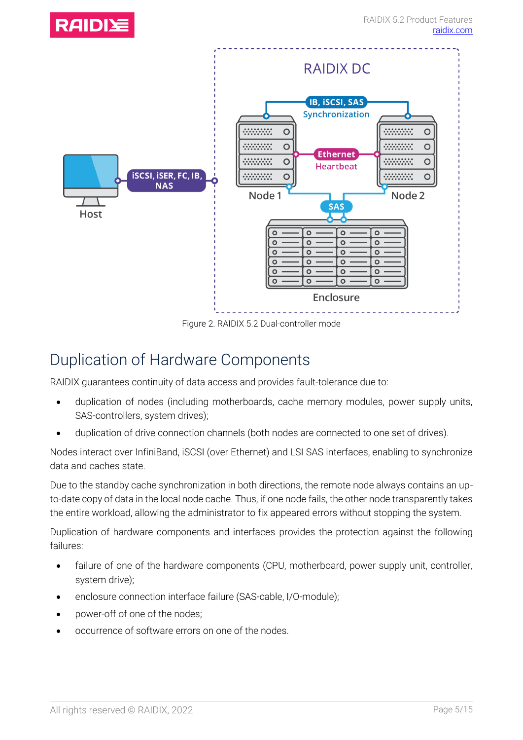

Figure 2. RAIDIX 5.2 Dual-controller mode

#### <span id="page-4-1"></span><span id="page-4-0"></span>Duplication of Hardware Components

RAIDIX guarantees continuity of data access and provides fault-tolerance due to:

- duplication of nodes (including motherboards, cache memory modules, power supply units, SAS-controllers, system drives);
- duplication of drive connection channels (both nodes are connected to one set of drives).

Nodes interact over InfiniBand, iSCSI (over Ethernet) and LSI SAS interfaces, enabling to synchronize data and caches state.

Due to the standby cache synchronization in both directions, the remote node always contains an upto-date copy of data in the local node cache. Thus, if one node fails, the other node transparently takes the entire workload, allowing the administrator to fix appeared errors without stopping the system.

Duplication of hardware components and interfaces provides the protection against the following failures:

- failure of one of the hardware components (CPU, motherboard, power supply unit, controller, system drive);
- enclosure connection interface failure (SAS-cable, I/O-module);
- power-off of one of the nodes;
- occurrence of software errors on one of the nodes.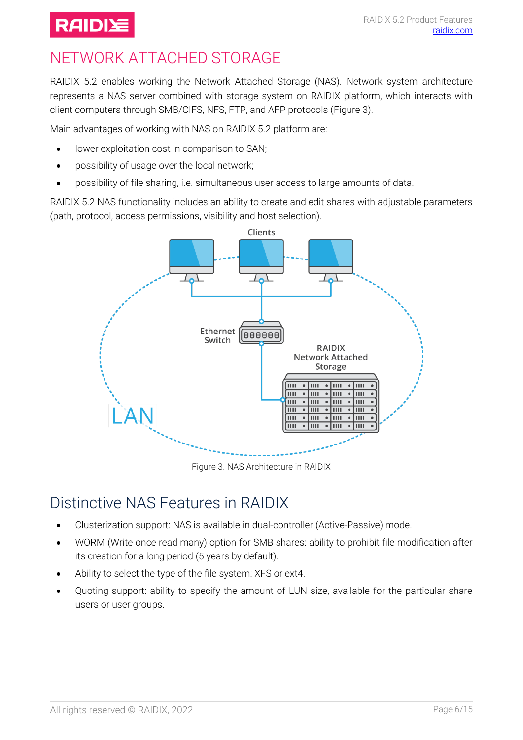## **RAIDIE**

# <span id="page-5-0"></span>NETWORK ATTACHED STORAGE

RAIDIX 5.2 enables working the Network Attached Storage (NAS). Network system architecture represents a NAS server combined with storage system on RAIDIX platform, which interacts with client computers through SMB/CIFS, NFS, FTP, and AFP protocols [\(Figure 3\)](#page-5-2).

Main advantages of working with NAS on RAIDIX 5.2 platform are:

- lower exploitation cost in comparison to SAN;
- possibility of usage over the local network;
- possibility of file sharing, i.e. simultaneous user access to large amounts of data.

RAIDIX 5.2 NAS functionality includes an ability to create and edit shares with adjustable parameters (path, protocol, access permissions, visibility and host selection).



Figure 3. NAS Architecture in RAIDIX

## <span id="page-5-2"></span><span id="page-5-1"></span>Distinctive NAS Features in RAIDIX

- [Clusterization](http://www.lingvo-online.ru/ru/Search/Translate/GlossaryItemExtraInfo?text=%d0%ba%d0%bb%d0%b0%d1%81%d1%82%d0%b5%d1%80%d0%b8%d0%b7%d0%b0%d1%86%d0%b8%d1%8f&translation=clusterization&srcLang=ru&destLang=en) support: NAS is available in dual-controller (Active-Passive) mode.
- WORM (Write once read many) option for SMB shares: ability to prohibit file modification after its creation for a long period (5 years by default).
- Ability to select the type of the file system: XFS or ext4.
- Quoting support: ability to specify the amount of LUN size, available for the particular share users or user groups.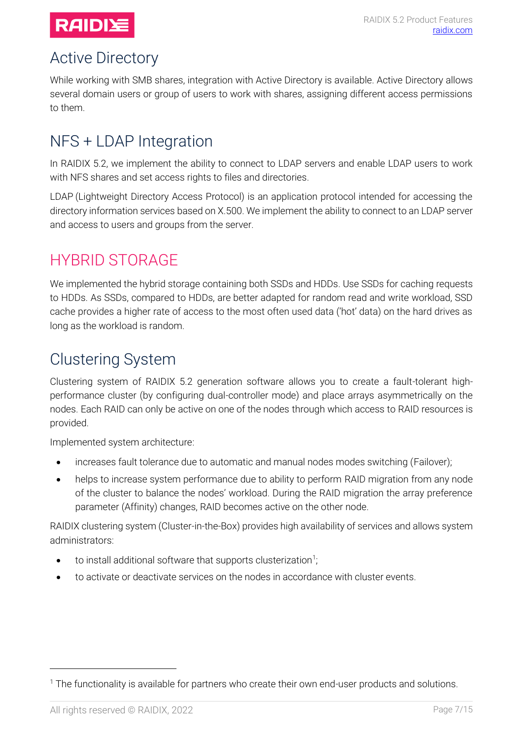

#### <span id="page-6-0"></span>Active Directory

While working with SMB shares, integration with Active Directory is available. Active Directory allows several domain users or group of users to work with shares, assigning different access permissions to them.

## <span id="page-6-1"></span>NFS + LDAP Integration

In RAIDIX 5.2, we implement the ability to connect to LDAP servers and enable LDAP users to work with NFS shares and set access rights to files and directories.

LDAP (Lightweight Directory Access Protocol) is an application protocol intended for accessing the directory information services based on X.500. We implement the ability to connect to an LDAP server and access to users and groups from the server.

## <span id="page-6-2"></span>HYBRID STORAGE

We implemented the hybrid storage containing both SSDs and HDDs. Use SSDs for caching requests to HDDs. As SSDs, compared to HDDs, are better adapted for random read and write workload, SSD cache provides a higher rate of access to the most often used data ('hot' data) on the hard drives as long as the workload is random.

## <span id="page-6-3"></span>Clustering System

Clustering system of RAIDIX 5.2 generation software allows you to create a fault-tolerant highperformance cluster (by configuring dual-controller mode) and place arrays asymmetrically on the nodes. Each RAID can only be active on one of the nodes through which access to RAID resources is provided.

Implemented system architecture:

- increases fault tolerance due to automatic and manual nodes modes switching (Failover);
- helps to increase system performance due to ability to perform RAID migration from any node of the cluster to balance the nodes' workload. During the RAID migration the array preference parameter (Affinity) changes, RAID becomes active on the other node.

RAIDIX clustering system (Cluster-in-the-Box) provides high availability of services and allows system administrators:

- to install additional software that supports clusterization<sup>1</sup>. ;
- to activate or deactivate services on the nodes in accordance with cluster events.

 $\overline{a}$ 

<sup>&</sup>lt;sup>1</sup> The functionality is available for partners who create their own end-user products and solutions.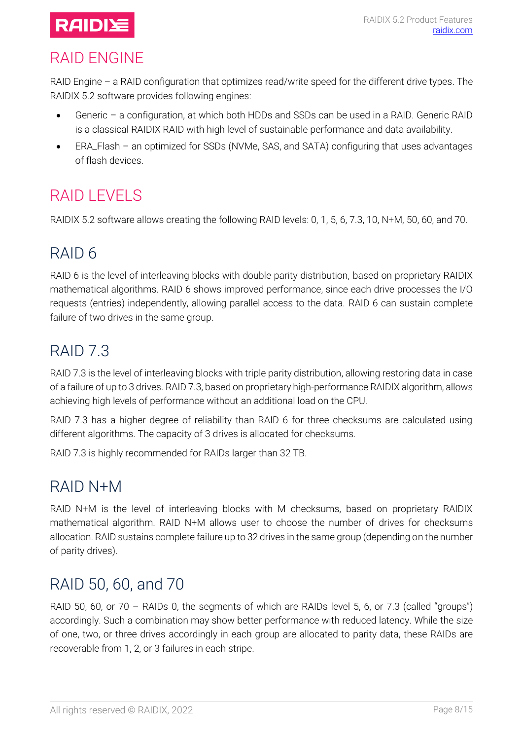

## <span id="page-7-0"></span>RAID ENGINE

RAID Engine – a RAID configuration that optimizes read/write speed for the different drive types. The RAIDIX 5.2 software provides following engines:

- Generic a configuration, at which both HDDs and SSDs can be used in a RAID. Generic RAID is a classical RAIDIX RAID with high level of sustainable performance and data availability.
- ERA\_Flash an optimized for SSDs (NVMe, SAS, and SATA) configuring that uses advantages of flash devices.

## <span id="page-7-1"></span>RAID I FVFI S

RAIDIX 5.2 software allows creating the following RAID levels: 0, 1, 5, 6, 7.3, 10, N+M, 50, 60, and 70.

# <span id="page-7-2"></span>RAID 6

RAID 6 is the level of interleaving blocks with double parity distribution, based on proprietary RAIDIX mathematical algorithms. RAID 6 shows improved performance, since each drive processes the I/O requests (entries) independently, allowing parallel access to the data. RAID 6 can sustain complete failure of two drives in the same group.

# <span id="page-7-3"></span>RAID 7.3

RAID 7.3 is the level of interleaving blocks with triple parity distribution, allowing restoring data in case of a failure of up to 3 drives. RAID 7.3, based on proprietary high-performance RAIDIX algorithm, allows achieving high levels of performance without an additional load on the CPU.

RAID 7.3 has a higher degree of reliability than RAID 6 for three checksums are calculated using different algorithms. The capacity of 3 drives is allocated for checksums.

RAID 7.3 is highly recommended for RAIDs larger than 32 TB.

## <span id="page-7-4"></span>RAID N+M

RAID N+M is the level of interleaving blocks with M checksums, based on proprietary RAIDIX mathematical algorithm. RAID N+M allows user to choose the number of drives for checksums allocation. RAID sustains complete failure up to 32 drives in the same group (depending on the number of parity drives).

## <span id="page-7-5"></span>RAID 50, 60, and 70

RAID 50, 60, or 70 - RAIDs 0, the segments of which are RAIDs level 5, 6, or 7.3 (called "groups") accordingly. Such a combination may show better performance with reduced latency. While the size of one, two, or three drives accordingly in each group are allocated to parity data, these RAIDs are recoverable from 1, 2, or 3 failures in each stripe.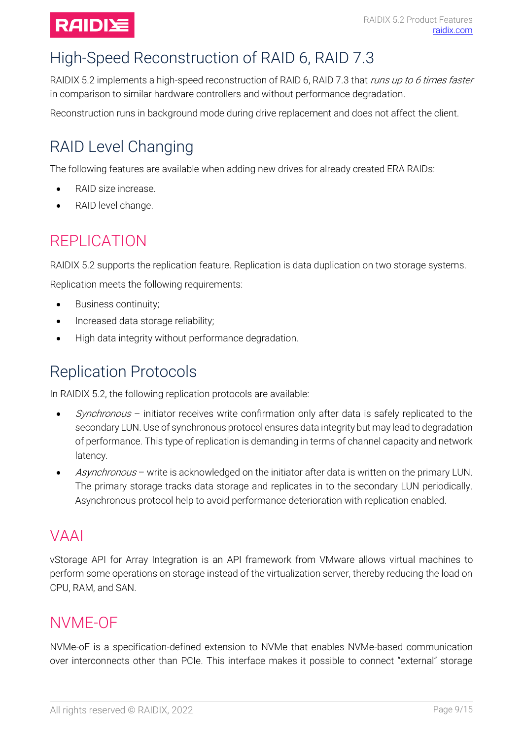

# <span id="page-8-0"></span>High-Speed Reconstruction of RAID 6, RAID 7.3

RAIDIX 5.2 implements a high-speed reconstruction of RAID 6, RAID 7.3 that runs up to 6 times faster in comparison to similar hardware controllers and without performance degradation.

Reconstruction runs in background mode during drive replacement and does not affect the client.

# <span id="page-8-1"></span>RAID Level Changing

The following features are available when adding new drives for already created ERA RAIDs:

- RAID size increase.
- RAID level change.

## <span id="page-8-2"></span>REPLICATION

RAIDIX 5.2 supports the replication feature. Replication is data duplication on two storage systems.

Replication meets the following requirements:

- Business continuity;
- Increased data storage reliability;
- High data integrity without performance degradation.

## <span id="page-8-3"></span>Replication Protocols

In RAIDIX 5.2, the following replication protocols are available:

- $Synchronous$  initiator receives write confirmation only after data is safely replicated to the secondary LUN. Use of synchronous protocol ensures data integrity but may lead to degradation of performance. This type of replication is demanding in terms of channel capacity and network latency.
- Asynchronous write is acknowledged on the initiator after data is written on the primary LUN. The primary storage tracks data storage and replicates in to the secondary LUN periodically. Asynchronous protocol help to avoid performance deterioration with replication enabled.

#### <span id="page-8-4"></span>VAAI

vStorage API for Array Integration is an API framework from VMware allows virtual machines to perform some operations on storage instead of the virtualization server, thereby reducing the load on CPU, RAM, and SAN.

#### <span id="page-8-5"></span>NVME-OF

NVMe-oF is a specification-defined extension to NVMe that enables NVMe-based communication over interconnects other than PCIe. This interface makes it possible to connect "external" storage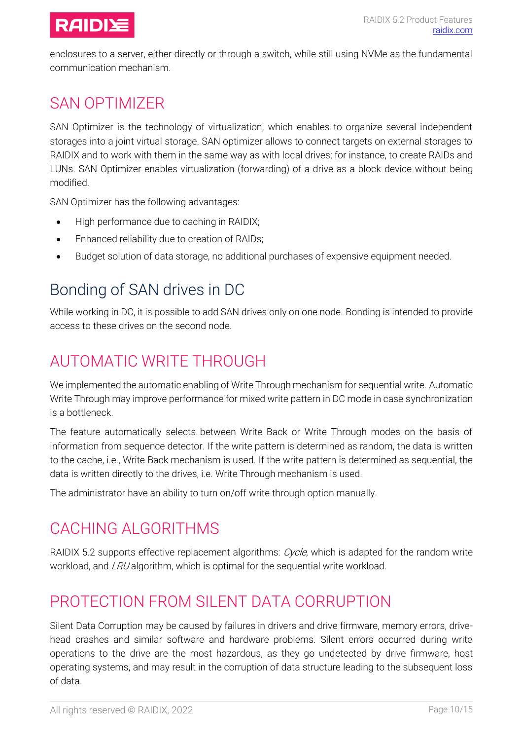

enclosures to a server, either directly or through a switch, while still using NVMe as the fundamental communication mechanism.

#### <span id="page-9-0"></span>SAN OPTIMIZER

SAN Optimizer is the technology of virtualization, which enables to organize several independent storages into a joint virtual storage. SAN optimizer allows to connect targets on external storages to RAIDIX and to work with them in the same way as with local drives; for instance, to create RAIDs and LUNs. SAN Optimizer enables virtualization (forwarding) of a drive as a block device without being modified.

SAN Optimizer has the following advantages:

- High performance due to caching in RAIDIX;
- Enhanced reliability due to creation of RAIDs;
- Budget solution of data storage, no additional purchases of expensive equipment needed.

## <span id="page-9-1"></span>Bonding of SAN drives in DC

While working in DC, it is possible to add SAN drives only on one node. Bonding is intended to provide access to these drives on the second node.

## <span id="page-9-2"></span>AUTOMATIC WRITE THROUGH

We implemented the automatic enabling of Write Through mechanism for sequential write. Automatic Write Through may improve performance for mixed write pattern in DC mode in case synchronization is a bottleneck.

The feature automatically selects between Write Back or Write Through modes on the basis of information from sequence detector. If the write pattern is determined as random, the data is written to the cache, i.e., Write Back mechanism is used. If the write pattern is determined as sequential, the data is written directly to the drives, i.e. Write Through mechanism is used.

The administrator have an ability to turn on/off write through option manually.

#### <span id="page-9-3"></span>CACHING ALGORITHMS

RAIDIX 5.2 supports effective replacement algorithms: Cycle, which is adapted for the random write workload, and LRU algorithm, which is optimal for the sequential write workload.

#### <span id="page-9-4"></span>PROTECTION FROM SILENT DATA CORRUPTION

Silent Data Corruption may be caused by failures in drivers and drive firmware, memory errors, drivehead crashes and similar software and hardware problems. Silent errors occurred during write operations to the drive are the most hazardous, as they go undetected by drive firmware, host operating systems, and may result in the corruption of data structure leading to the subsequent loss of data.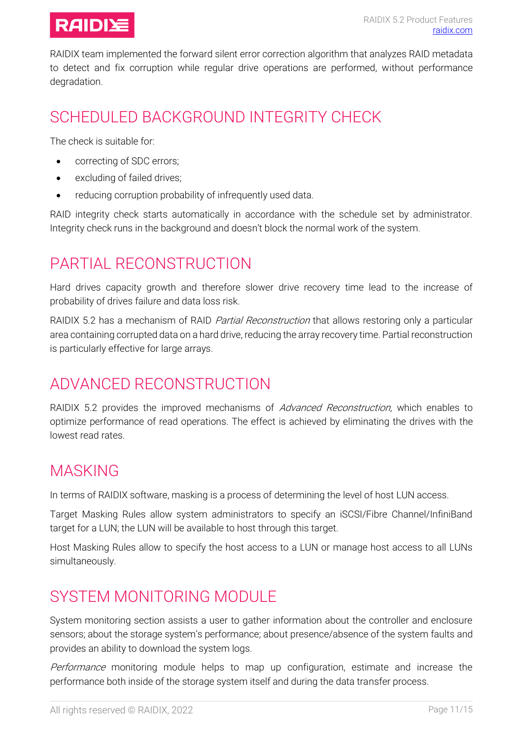

RAIDIX team implemented the forward silent error correction algorithm that analyzes RAID metadata to detect and fix corruption while regular drive operations are performed, without performance degradation.

## <span id="page-10-0"></span>SCHEDULED BACKGROUND INTEGRITY CHECK

The check is suitable for:

- correcting of SDC errors;
- excluding of failed drives;
- reducing corruption probability of infrequently used data.

RAID integrity check starts automatically in accordance with the schedule set by administrator. Integrity check runs in the background and doesn't block the normal work of the system.

#### <span id="page-10-1"></span>PARTIAL RECONSTRUCTION

Hard drives capacity growth and therefore slower drive recovery time lead to the increase of probability of drives failure and data loss risk.

RAIDIX 5.2 has a mechanism of RAID *Partial Reconstruction* that allows restoring only a particular area containing corrupted data on a hard drive, reducing the array recovery time. Partial reconstruction is particularly effective for large arrays.

#### <span id="page-10-2"></span>ADVANCED RECONSTRUCTION

RAIDIX 5.2 provides the improved mechanisms of Advanced Reconstruction, which enables to optimize performance of read operations. The effect is achieved by eliminating the drives with the lowest read rates.

#### <span id="page-10-3"></span>MASKING

In terms of RAIDIX software, masking is a process of determining the level of host LUN access.

Target Masking Rules allow system administrators to specify an iSCSI/Fibre Channel/InfiniBand target for a LUN; the LUN will be available to host through this target.

Host Masking Rules allow to specify the host access to a LUN or manage host access to all LUNs simultaneously.

## <span id="page-10-4"></span>SYSTEM MONITORING MODULE

System monitoring section assists a user to gather information about the controller and enclosure sensors; about the storage system's performance; about presence/absence of the system faults and provides an ability to download the system logs.

Performance monitoring module helps to map up configuration, estimate and increase the performance both inside of the storage system itself and during the data transfer process.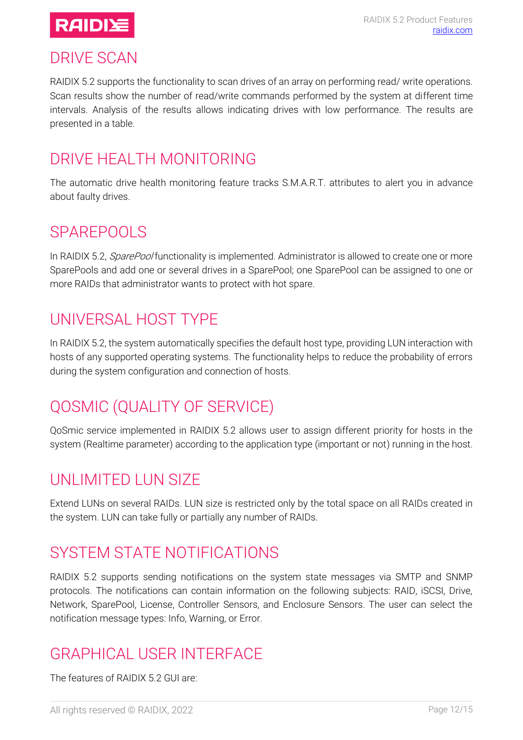

#### <span id="page-11-0"></span>DRIVE SCAN

RAIDIX 5.2 supports the functionality to scan drives of an array on performing read/ write operations. Scan results show the number of read/write commands performed by the system at different time intervals. Analysis of the results allows indicating drives with low performance. The results are presented in a table.

## <span id="page-11-1"></span>DRIVE HEALTH MONITORING

The automatic drive health monitoring feature tracks S.M.A.R.T. attributes to alert you in advance about faulty drives.

#### <span id="page-11-2"></span>SPAREPOOLS

In RAIDIX 5.2, *SparePool* functionality is implemented. Administrator is allowed to create one or more SparePools and add one or several drives in a SparePool; one SparePool can be assigned to one or more RAIDs that administrator wants to protect with hot spare.

## <span id="page-11-3"></span>UNIVERSAL HOST TYPE

In RAIDIX 5.2, the system automatically specifies the default host type, providing LUN interaction with hosts of any supported operating systems. The functionality helps to reduce the probability of errors during the system configuration and connection of hosts.

# <span id="page-11-4"></span>QOSMIC (QUALITY OF SERVICE)

QoSmic service implemented in RAIDIX 5.2 allows user to assign different priority for hosts in the system (Realtime parameter) according to the application type (important or not) running in the host.

#### <span id="page-11-5"></span>UNLIMITED LUN SIZE

Extend LUNs on several RAIDs. LUN size is restricted only by the total space on all RAIDs created in the system. LUN can take fully or partially any number of RAIDs.

## <span id="page-11-6"></span>SYSTEM STATE NOTIFICATIONS

RAIDIX 5.2 supports sending notifications on the system state messages via SMTP and SNMP protocols. The notifications can contain information on the following subjects: RAID, iSCSI, Drive, Network, SparePool, License, Controller Sensors, and Enclosure Sensors. The user can select the notification message types: Info, Warning, or Error.

## <span id="page-11-7"></span>GRAPHICAL USER INTERFACE

The features of RAIDIX 5.2 GUI are: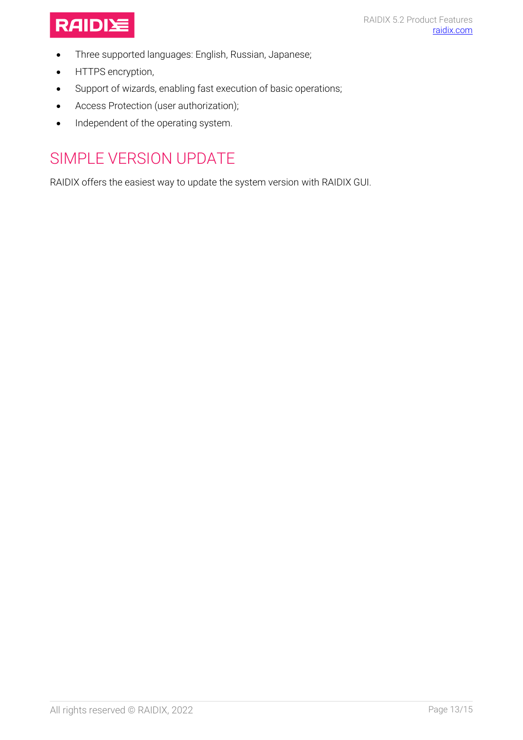

- Three supported languages: English, Russian, Japanese;
- HTTPS encryption,
- Support of wizards, enabling fast execution of basic operations;
- Access Protection (user authorization);
- Independent of the operating system.

## <span id="page-12-0"></span>SIMPLE VERSION UPDATE

RAIDIX offers the easiest way to update the system version with RAIDIX GUI.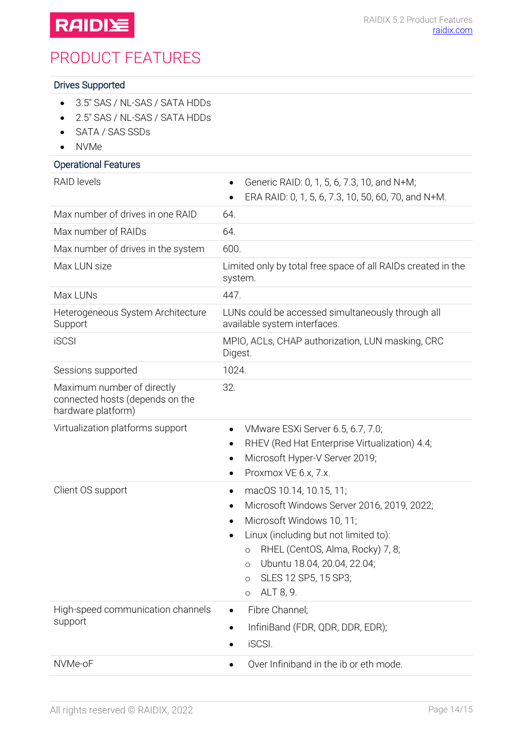

## <span id="page-13-0"></span>PRODUCT FEATURES

#### Drives Supported

- 3.5" SAS / NL-SAS / SATA HDDs
- 2.5" SAS / NL-SAS / SATA HDDs
- SATA / SAS SSDs
- NVMe

#### Operational Features RAID levels • Generic RAID: 0, 1, 5, 6, 7.3, 10, and N+M; • ERA RAID: 0, 1, 5, 6, 7.3, 10, 50, 60, 70, and N+M. Max number of drives in one RAID 64. Max number of RAIDs 64. Max number of drives in the system 600. Max LUN size Limited only by total free space of all RAIDs created in the system. Max LUNs 447. Heterogeneous System Architecture Support LUNs could be accessed simultaneously through all available system interfaces. iSCSI MPIO, ACLs, CHAP authorization, LUN masking, СRC Digest. Sessions supported 1024. Maximum number of directly connected hosts (depends on the hardware platform) 32. Virtualization platforms support • VMware ESXi Server 6.5, 6.7, 7.0; • RHEV (Red Hat Enterprise Virtualization) 4.4; • Microsoft Hyper-V Server 2019; • Proxmox VE 6.x, 7.x. Client OS support • macOS 10.14, 10.15, 11; • Microsoft Windows Server 2016, 2019, 2022; Microsoft Windows 10, 11; • Linux (including but not limited to): o RHEL (CentOS, Alma, Rocky) 7, 8; o Ubuntu 18.04, 20.04, 22.04; o SLES 12 SP5, 15 SP3; o ALT 8, 9. High-speed communication channels support • Fibre Channel; • InfiniBand (FDR, QDR, DDR, EDR); • iSCSI. NVMe-oF • Over Infiniband in the ib or eth mode.